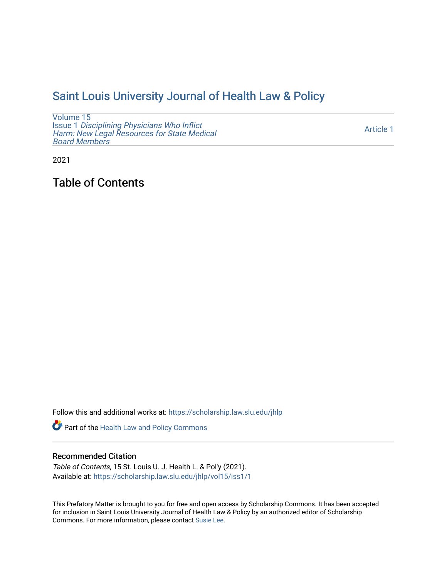## [Saint Louis University Journal of Health Law & Policy](https://scholarship.law.slu.edu/jhlp)

[Volume 15](https://scholarship.law.slu.edu/jhlp/vol15) Issue 1 [Disciplining Physicians Who Inflict](https://scholarship.law.slu.edu/jhlp/vol15/iss1)  [Harm: New Legal Resources for State Medical](https://scholarship.law.slu.edu/jhlp/vol15/iss1) [Board Members](https://scholarship.law.slu.edu/jhlp/vol15/iss1)

[Article 1](https://scholarship.law.slu.edu/jhlp/vol15/iss1/1) 

2021

Table of Contents

Follow this and additional works at: [https://scholarship.law.slu.edu/jhlp](https://scholarship.law.slu.edu/jhlp?utm_source=scholarship.law.slu.edu%2Fjhlp%2Fvol15%2Fiss1%2F1&utm_medium=PDF&utm_campaign=PDFCoverPages)

Part of the [Health Law and Policy Commons](http://network.bepress.com/hgg/discipline/901?utm_source=scholarship.law.slu.edu%2Fjhlp%2Fvol15%2Fiss1%2F1&utm_medium=PDF&utm_campaign=PDFCoverPages) 

#### Recommended Citation

Table of Contents, 15 St. Louis U. J. Health L. & Pol'y (2021). Available at: [https://scholarship.law.slu.edu/jhlp/vol15/iss1/1](https://scholarship.law.slu.edu/jhlp/vol15/iss1/1?utm_source=scholarship.law.slu.edu%2Fjhlp%2Fvol15%2Fiss1%2F1&utm_medium=PDF&utm_campaign=PDFCoverPages) 

This Prefatory Matter is brought to you for free and open access by Scholarship Commons. It has been accepted for inclusion in Saint Louis University Journal of Health Law & Policy by an authorized editor of Scholarship Commons. For more information, please contact [Susie Lee](mailto:susie.lee@slu.edu).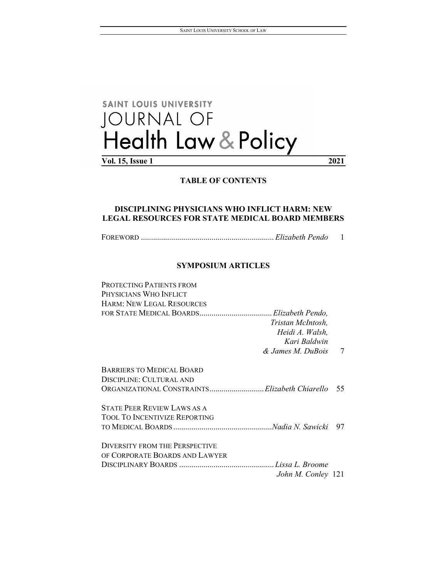# SAINT LOUIS UNIVERSITY JOURNAL OF<br>Health Law & Policy

**Vol. 15, Issue 1 2021**

#### **TABLE OF CONTENTS**

### **DISCIPLINING PHYSICIANS WHO INFLICT HARM: NEW LEGAL RESOURCES FOR STATE MEDICAL BOARD MEMBERS**

FOREWORD .................................................................. *Elizabeth Pendo* 1

#### **SYMPOSIUM ARTICLES**

| PROTECTING PATIENTS FROM                                                  |   |
|---------------------------------------------------------------------------|---|
| Physicians Who Inflict                                                    |   |
| <b>HARM: NEW LEGAL RESOURCES</b>                                          |   |
| Tristan McIntosh,<br>Heidi A. Walsh,<br>Kari Baldwin<br>& James M. DuBois | 7 |
| BARRIERS TO MEDICAL BOARD                                                 |   |
| DISCIPLINE: CULTURAL AND                                                  |   |
| ORGANIZATIONAL CONSTRAINTSElizabeth Chiarello 55                          |   |
| <b>STATE PEER REVIEW LAWS AS A</b>                                        |   |
| <b>TOOL TO INCENTIVIZE REPORTING</b>                                      |   |
|                                                                           |   |
| <b>DIVERSITY FROM THE PERSPECTIVE</b>                                     |   |
| of Corporate Boards and Lawyer                                            |   |
|                                                                           |   |
| John M. Conley 121                                                        |   |